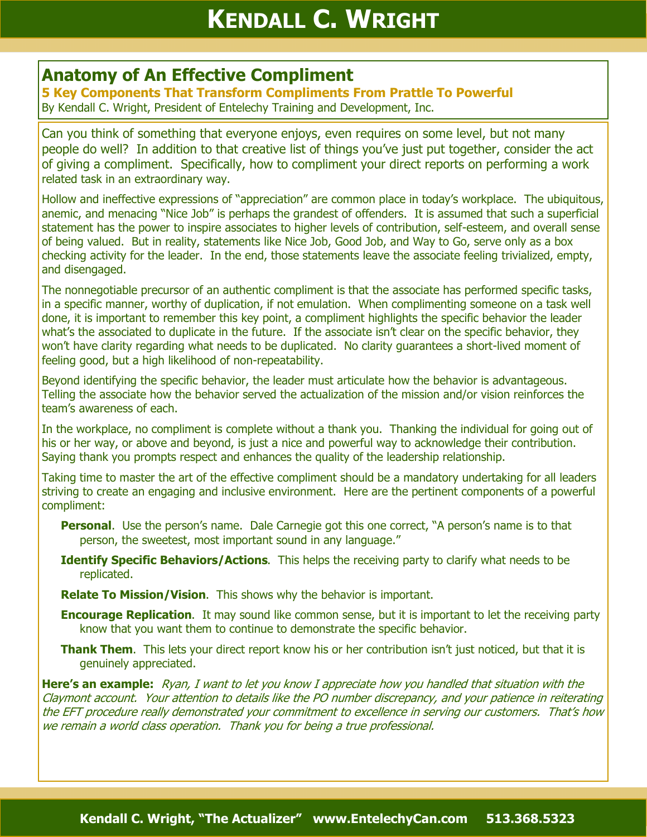## **Anatomy of An Effective Compliment**

**5 Key Components That Transform Compliments From Prattle To Powerful** By Kendall C. Wright, President of Entelechy Training and Development, Inc.

Can you think of something that everyone enjoys, even requires on some level, but not many people do well? In addition to that creative list of things you've just put together, consider the act of giving a compliment. Specifically, how to compliment your direct reports on performing a work related task in an extraordinary way.

Hollow and ineffective expressions of "appreciation" are common place in today's workplace. The ubiquitous, anemic, and menacing "Nice Job" is perhaps the grandest of offenders. It is assumed that such a superficial statement has the power to inspire associates to higher levels of contribution, self-esteem, and overall sense of being valued. But in reality, statements like Nice Job, Good Job, and Way to Go, serve only as a box checking activity for the leader. In the end, those statements leave the associate feeling trivialized, empty, and disengaged.

The nonnegotiable precursor of an authentic compliment is that the associate has performed specific tasks, in a specific manner, worthy of duplication, if not emulation. When complimenting someone on a task well done, it is important to remember this key point, a compliment highlights the specific behavior the leader what's the associated to duplicate in the future. If the associate isn't clear on the specific behavior, they won't have clarity regarding what needs to be duplicated. No clarity guarantees a short-lived moment of feeling good, but a high likelihood of non-repeatability.

Beyond identifying the specific behavior, the leader must articulate how the behavior is advantageous. Telling the associate how the behavior served the actualization of the mission and/or vision reinforces the team's awareness of each.

In the workplace, no compliment is complete without a thank you. Thanking the individual for going out of his or her way, or above and beyond, is just a nice and powerful way to acknowledge their contribution. Saying thank you prompts respect and enhances the quality of the leadership relationship.

Taking time to master the art of the effective compliment should be a mandatory undertaking for all leaders striving to create an engaging and inclusive environment. Here are the pertinent components of a powerful compliment:

**Personal.** Use the person's name. Dale Carnegie got this one correct, "A person's name is to that person, the sweetest, most important sound in any language."

**Identify Specific Behaviors/Actions**. This helps the receiving party to clarify what needs to be replicated.

**Relate To Mission/Vision**. This shows why the behavior is important.

**Encourage Replication.** It may sound like common sense, but it is important to let the receiving party know that you want them to continue to demonstrate the specific behavior.

**Thank Them**. This lets your direct report know his or her contribution isn't just noticed, but that it is genuinely appreciated.

**Here's an example:** Ryan, I want to let you know I appreciate how you handled that situation with the Claymont account. Your attention to details like the PO number discrepancy, and your patience in reiterating the EFT procedure really demonstrated your commitment to excellence in serving our customers. That's how we remain a world class operation. Thank you for being a true professional.